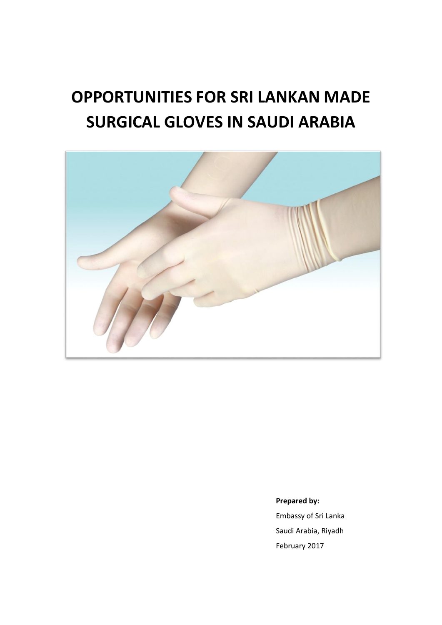# **OPPORTUNITIES FOR SRI LANKAN MADE SURGICAL GLOVES IN SAUDI ARABIA**



**Prepared by:** 

Embassy of Sri Lanka Saudi Arabia, Riyadh February 2017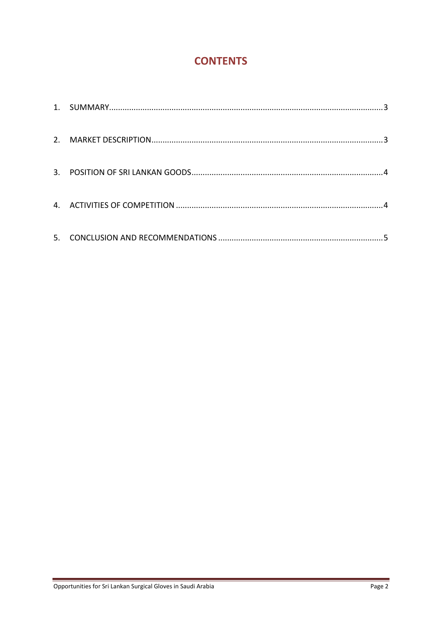# **CONTENTS**

| 3. |  |
|----|--|
|    |  |
| 5. |  |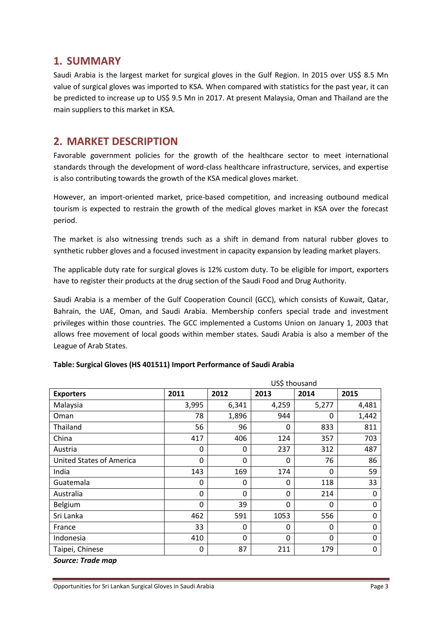#### **1. SUMMARY**

Saudi Arabia is the largest market for surgical gloves in the Gulf Region. In 2015 over US\$ 8.5 Mn value of surgical gloves was imported to KSA. When compared with statistics for the past year, it can be predicted to increase up to US\$ 9.5 Mn in 2017. At present Malaysia, Oman and Thailand are the main suppliers to this market in KSA.

### **2. MARKET DESCRIPTION**

Favorable government policies for the growth of the healthcare sector to meet international standards through the development of word-class healthcare infrastructure, services, and expertise is also contributing towards the growth of the KSA medical gloves market.

However, an import-oriented market, price-based competition, and increasing outbound medical tourism is expected to restrain the growth of the medical gloves market in KSA over the forecast period.

The market is also witnessing trends such as a shift in demand from natural rubber gloves to synthetic rubber gloves and a focused investment in capacity expansion by leading market players.

The applicable duty rate for surgical gloves is 12% custom duty. To be eligible for import, exporters have to register their products at the drug section of the Saudi Food and Drug Authority.

Saudi Arabia is a member of the Gulf Cooperation Council (GCC), which consists of Kuwait, Qatar, Bahrain, the UAE, Oman, and Saudi Arabia. Membership confers special trade and investment privileges within those countries. The GCC implemented a Customs Union on January 1, 2003 that allows free movement of local goods within member states. Saudi Arabia is also a member of the League of Arab States.

|                                 |              | US\$ thousand |              |                |              |  |  |
|---------------------------------|--------------|---------------|--------------|----------------|--------------|--|--|
| <b>Exporters</b>                | 2011         | 2012          | 2013         | 2014           | 2015         |  |  |
| Malaysia                        | 3,995        | 6,341         | 4,259        | 5,277          | 4,481        |  |  |
| Oman                            | 78           | 1,896         | 944          | 0              | 1,442        |  |  |
| Thailand                        | 56           | 96            | 0            | 833            | 811          |  |  |
| China                           | 417          | 406           | 124          | 357            | 703          |  |  |
| Austria                         | 0            | $\Omega$      | 237          | 312            | 487          |  |  |
| <b>United States of America</b> | 0            | $\Omega$      | 0            | 76             | 86           |  |  |
| India                           | 143          | 169           | 174          | $\mathbf{0}$   | 59           |  |  |
| Guatemala                       | 0            | 0             | $\mathbf{0}$ | 118            | 33           |  |  |
| Australia                       | 0            | 0             | $\Omega$     | 214            | 0            |  |  |
| Belgium                         | $\mathbf{0}$ | 39            | $\Omega$     | $\mathbf{0}$   | $\mathbf{0}$ |  |  |
| Sri Lanka                       | 462          | 591           | 1053         | 556            | $\mathbf{0}$ |  |  |
| France                          | 33           | $\Omega$      | $\Omega$     | $\Omega$       | $\mathbf{0}$ |  |  |
| Indonesia                       | 410          | $\Omega$      | $\Omega$     | $\overline{0}$ | $\mathbf{0}$ |  |  |
| Taipei, Chinese                 | 0            | 87            | 211          | 179            | 0            |  |  |

#### **Table: Surgical Gloves (HS 401511) Import Performance of Saudi Arabia**

*Source: Trade map*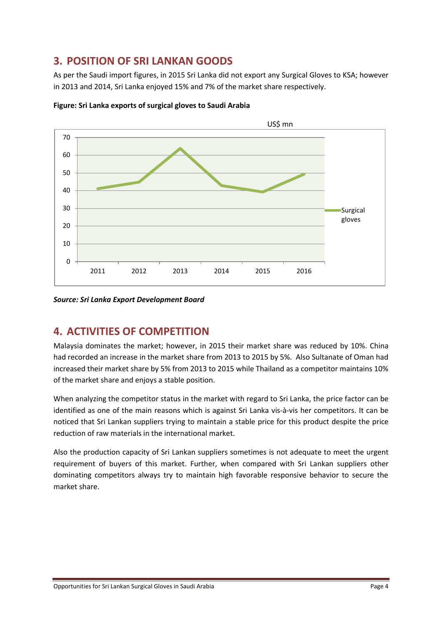## **3. POSITION OF SRI LANKAN GOODS**

As per the Saudi import figures, in 2015 Sri Lanka did not export any Surgical Gloves to KSA; however in 2013 and 2014, Sri Lanka enjoyed 15% and 7% of the market share respectively.



**Figure: Sri Lanka exports of surgical gloves to Saudi Arabia** 

*Source: Sri Lanka Export Development Board*

## **4. ACTIVITIES OF COMPETITION**

Malaysia dominates the market; however, in 2015 their market share was reduced by 10%. China had recorded an increase in the market share from 2013 to 2015 by 5%. Also Sultanate of Oman had increased their market share by 5% from 2013 to 2015 while Thailand as a competitor maintains 10% of the market share and enjoys a stable position.

When analyzing the competitor status in the market with regard to Sri Lanka, the price factor can be identified as one of the main reasons which is against Sri Lanka vis-à-vis her competitors. It can be noticed that Sri Lankan suppliers trying to maintain a stable price for this product despite the price reduction of raw materials in the international market.

Also the production capacity of Sri Lankan suppliers sometimes is not adequate to meet the urgent requirement of buyers of this market. Further, when compared with Sri Lankan suppliers other dominating competitors always try to maintain high favorable responsive behavior to secure the market share.